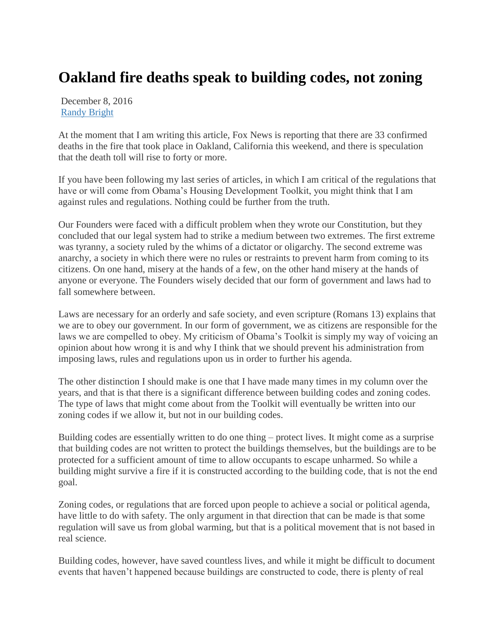## **Oakland fire deaths speak to building codes, not zoning**

December 8, 2016 [Randy Bright](http://tulsabeacon.com/author/randy-bright/)

At the moment that I am writing this article, Fox News is reporting that there are 33 confirmed deaths in the fire that took place in Oakland, California this weekend, and there is speculation that the death toll will rise to forty or more.

If you have been following my last series of articles, in which I am critical of the regulations that have or will come from Obama's Housing Development Toolkit, you might think that I am against rules and regulations. Nothing could be further from the truth.

Our Founders were faced with a difficult problem when they wrote our Constitution, but they concluded that our legal system had to strike a medium between two extremes. The first extreme was tyranny, a society ruled by the whims of a dictator or oligarchy. The second extreme was anarchy, a society in which there were no rules or restraints to prevent harm from coming to its citizens. On one hand, misery at the hands of a few, on the other hand misery at the hands of anyone or everyone. The Founders wisely decided that our form of government and laws had to fall somewhere between.

Laws are necessary for an orderly and safe society, and even scripture (Romans 13) explains that we are to obey our government. In our form of government, we as citizens are responsible for the laws we are compelled to obey. My criticism of Obama's Toolkit is simply my way of voicing an opinion about how wrong it is and why I think that we should prevent his administration from imposing laws, rules and regulations upon us in order to further his agenda.

The other distinction I should make is one that I have made many times in my column over the years, and that is that there is a significant difference between building codes and zoning codes. The type of laws that might come about from the Toolkit will eventually be written into our zoning codes if we allow it, but not in our building codes.

Building codes are essentially written to do one thing – protect lives. It might come as a surprise that building codes are not written to protect the buildings themselves, but the buildings are to be protected for a sufficient amount of time to allow occupants to escape unharmed. So while a building might survive a fire if it is constructed according to the building code, that is not the end goal.

Zoning codes, or regulations that are forced upon people to achieve a social or political agenda, have little to do with safety. The only argument in that direction that can be made is that some regulation will save us from global warming, but that is a political movement that is not based in real science.

Building codes, however, have saved countless lives, and while it might be difficult to document events that haven't happened because buildings are constructed to code, there is plenty of real